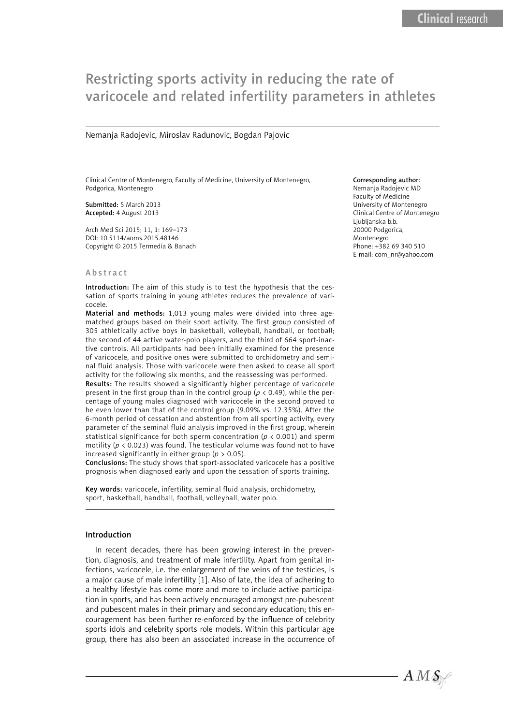# Restricting sports activity in reducing the rate of varicocele and related infertility parameters in athletes

Nemanja Radojevic, Miroslav Radunovic, Bogdan Pajovic

Clinical Centre of Montenegro, Faculty of Medicine, University of Montenegro, Podgorica, Montenegro

Submitted: 5 March 2013 Accepted: 4 August 2013

Arch Med Sci 2015; 11, 1: 169–173 DOI: 10.5114/aoms.2015.48146 Copyright © 2015 Termedia & Banach

#### Corresponding author:

Nemanja Radojevic MD Faculty of Medicine University of Montenegro Clinical Centre of Montenegro Ljubljanska b.b. 20000 Podgorica, Montenegro Phone: +382 69 340 510 E-mail: com\_nr@yahoo.com

#### Abstract

Introduction: The aim of this study is to test the hypothesis that the cessation of sports training in young athletes reduces the prevalence of varicocele.

Material and methods: 1,013 young males were divided into three agematched groups based on their sport activity. The first group consisted of 305 athletically active boys in basketball, volleyball, handball, or football; the second of 44 active water-polo players, and the third of 664 sport-inactive controls. All participants had been initially examined for the presence of varicocele, and positive ones were submitted to orchidometry and seminal fluid analysis. Those with varicocele were then asked to cease all sport activity for the following six months, and the reassessing was performed. Results: The results showed a significantly higher percentage of varicocele present in the first group than in the control group (*p* < 0.49), while the percentage of young males diagnosed with varicocele in the second proved to be even lower than that of the control group (9.09% vs. 12.35%). After the 6-month period of cessation and abstention from all sporting activity, every parameter of the seminal fluid analysis improved in the first group, wherein statistical significance for both sperm concentration (*p* < 0.001) and sperm motility ( $p < 0.023$ ) was found. The testicular volume was found not to have increased significantly in either group (*p* > 0.05).

Conclusions: The study shows that sport-associated varicocele has a positive prognosis when diagnosed early and upon the cessation of sports training.

Key words: varicocele, infertility, seminal fluid analysis, orchidometry, sport, basketball, handball, football, volleyball, water polo.

# Introduction

In recent decades, there has been growing interest in the prevention, diagnosis, and treatment of male infertility. Apart from genital infections, varicocele, i.e. the enlargement of the veins of the testicles, is a major cause of male infertility [1]. Also of late, the idea of adhering to a healthy lifestyle has come more and more to include active participation in sports, and has been actively encouraged amongst pre-pubescent and pubescent males in their primary and secondary education; this encouragement has been further re-enforced by the influence of celebrity sports idols and celebrity sports role models. Within this particular age group, there has also been an associated increase in the occurrence of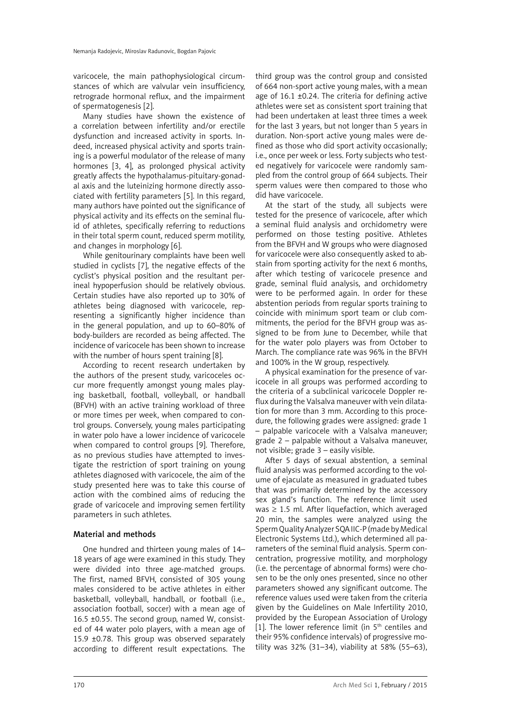varicocele, the main pathophysiological circumstances of which are valvular vein insufficiency, retrograde hormonal reflux, and the impairment of spermatogenesis [2].

Many studies have shown the existence of a correlation between infertility and/or erectile dysfunction and increased activity in sports. Indeed, increased physical activity and sports training is a powerful modulator of the release of many hormones [3, 4], as prolonged physical activity greatly affects the hypothalamus-pituitary-gonadal axis and the luteinizing hormone directly associated with fertility parameters [5]. In this regard, many authors have pointed out the significance of physical activity and its effects on the seminal fluid of athletes, specifically referring to reductions in their total sperm count, reduced sperm motility, and changes in morphology [6].

While genitourinary complaints have been well studied in cyclists [7], the negative effects of the cyclist's physical position and the resultant perineal hypoperfusion should be relatively obvious. Certain studies have also reported up to 30% of athletes being diagnosed with varicocele, representing a significantly higher incidence than in the general population, and up to 60–80% of body-builders are recorded as being affected. The incidence of varicocele has been shown to increase with the number of hours spent training [8].

According to recent research undertaken by the authors of the present study, varicoceles occur more frequently amongst young males playing basketball, football, volleyball, or handball (BFVH) with an active training workload of three or more times per week, when compared to control groups. Conversely, young males participating in water polo have a lower incidence of varicocele when compared to control groups [9]. Therefore, as no previous studies have attempted to investigate the restriction of sport training on young athletes diagnosed with varicocele, the aim of the study presented here was to take this course of action with the combined aims of reducing the grade of varicocele and improving semen fertility parameters in such athletes.

# Material and methods

One hundred and thirteen young males of 14– 18 years of age were examined in this study. They were divided into three age-matched groups. The first, named BFVH, consisted of 305 young males considered to be active athletes in either basketball, volleyball, handball, or football (i.e., association football, soccer) with a mean age of 16.5 ±0.55. The second group, named W, consisted of 44 water polo players, with a mean age of 15.9 ±0.78. This group was observed separately according to different result expectations. The

third group was the control group and consisted of 664 non-sport active young males, with a mean age of  $16.1 \pm 0.24$ . The criteria for defining active athletes were set as consistent sport training that had been undertaken at least three times a week for the last 3 years, but not longer than 5 years in duration. Non-sport active young males were defined as those who did sport activity occasionally; i.e., once per week or less. Forty subjects who tested negatively for varicocele were randomly sampled from the control group of 664 subjects. Their sperm values were then compared to those who did have varicocele.

At the start of the study, all subjects were tested for the presence of varicocele, after which a seminal fluid analysis and orchidometry were performed on those testing positive. Athletes from the BFVH and W groups who were diagnosed for varicocele were also consequently asked to abstain from sporting activity for the next 6 months, after which testing of varicocele presence and grade, seminal fluid analysis, and orchidometry were to be performed again. In order for these abstention periods from regular sports training to coincide with minimum sport team or club commitments, the period for the BFVH group was assigned to be from June to December, while that for the water polo players was from October to March. The compliance rate was 96% in the BFVH and 100% in the W group, respectively.

A physical examination for the presence of varicocele in all groups was performed according to the criteria of a subclinical varicocele Doppler reflux during the Valsalva maneuver with vein dilatation for more than 3 mm. According to this procedure, the following grades were assigned: grade 1 – palpable varicocele with a Valsalva maneuver; grade 2 – palpable without a Valsalva maneuver, not visible; grade 3 – easily visible.

After 5 days of sexual abstention, a seminal fluid analysis was performed according to the volume of ejaculate as measured in graduated tubes that was primarily determined by the accessory sex gland's function. The reference limit used was  $\geq$  1.5 ml. After liquefaction, which averaged 20 min, the samples were analyzed using the Sperm Quality Analyzer SQA IIC-P (made by Medical Electronic Systems Ltd.), which determined all parameters of the seminal fluid analysis. Sperm concentration, progressive motility, and morphology (i.e. the percentage of abnormal forms) were chosen to be the only ones presented, since no other parameters showed any significant outcome. The reference values used were taken from the criteria given by the Guidelines on Male Infertility 2010, provided by the European Association of Urology [1]. The lower reference limit (in  $5<sup>th</sup>$  centiles and their 95% confidence intervals) of progressive motility was 32% (31–34), viability at 58% (55–63),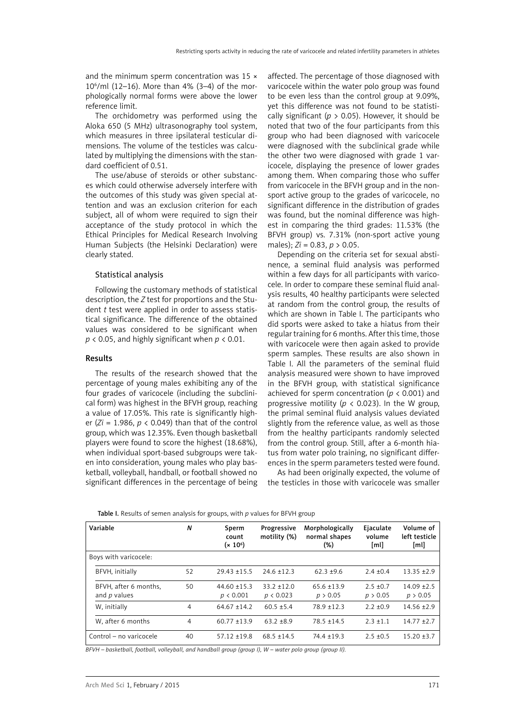and the minimum sperm concentration was 15  $\times$ 106 /ml (12–16). More than 4% (3–4) of the morphologically normal forms were above the lower reference limit.

The orchidometry was performed using the Aloka 650 (5 MHz) ultrasonography tool system, which measures in three ipsilateral testicular dimensions. The volume of the testicles was calculated by multiplying the dimensions with the standard coefficient of 0.51.

The use/abuse of steroids or other substances which could otherwise adversely interfere with the outcomes of this study was given special attention and was an exclusion criterion for each subject, all of whom were required to sign their acceptance of the study protocol in which the Ethical Principles for Medical Research Involving Human Subjects (the Helsinki Declaration) were clearly stated.

#### Statistical analysis

Following the customary methods of statistical description, the *Z* test for proportions and the Student *t* test were applied in order to assess statistical significance. The difference of the obtained values was considered to be significant when  $p$  < 0.05, and highly significant when  $p$  < 0.01.

## Results

The results of the research showed that the percentage of young males exhibiting any of the four grades of varicocele (including the subclinical form) was highest in the BFVH group, reaching a value of 17.05%. This rate is significantly higher (*Zi* = 1.986, *p* < 0.049) than that of the control group, which was 12.35%. Even though basketball players were found to score the highest (18.68%), when individual sport-based subgroups were taken into consideration, young males who play basketball, volleyball, handball, or football showed no significant differences in the percentage of being affected. The percentage of those diagnosed with varicocele within the water polo group was found to be even less than the control group at 9.09%, yet this difference was not found to be statistically significant ( $p > 0.05$ ). However, it should be noted that two of the four participants from this group who had been diagnosed with varicocele were diagnosed with the subclinical grade while the other two were diagnosed with grade 1 varicocele, displaying the presence of lower grades among them. When comparing those who suffer from varicocele in the BFVH group and in the nonsport active group to the grades of varicocele, no significant difference in the distribution of grades was found, but the nominal difference was highest in comparing the third grades: 11.53% (the BFVH group) vs. 7.31% (non-sport active young males); *Zi* = 0.83, *p* > 0.05.

Depending on the criteria set for sexual abstinence, a seminal fluid analysis was performed within a few days for all participants with varicocele. In order to compare these seminal fluid analysis results, 40 healthy participants were selected at random from the control group, the results of which are shown in Table I. The participants who did sports were asked to take a hiatus from their regular training for 6 months. After this time, those with varicocele were then again asked to provide sperm samples. These results are also shown in Table I. All the parameters of the seminal fluid analysis measured were shown to have improved in the BFVH group, with statistical significance achieved for sperm concentration (*p* < 0.001) and progressive motility ( $p < 0.023$ ). In the W group, the primal seminal fluid analysis values deviated slightly from the reference value, as well as those from the healthy participants randomly selected from the control group. Still, after a 6-month hiatus from water polo training, no significant differences in the sperm parameters tested were found.

As had been originally expected, the volume of the testicles in those with varicocele was smaller

| Variable                              | N  | Sperm<br>count<br>$(x 10^6)$  | Progressive<br>motility (%) | Morphologically<br>normal shapes<br>$(\%)$ | Ejaculate<br>volume<br>[ml] | Volume of<br>left testicle<br>[ml] |
|---------------------------------------|----|-------------------------------|-----------------------------|--------------------------------------------|-----------------------------|------------------------------------|
| Boys with varicocele:                 |    |                               |                             |                                            |                             |                                    |
| BFVH, initially                       | 52 | $29.43 \pm 15.5$              | $24.6 \pm 12.3$             | $62.3 \pm 9.6$                             | $2.4 \pm 0.4$               | $13.35 + 2.9$                      |
| BFVH, after 6 months,<br>and p values | 50 | $44.60 \pm 15.3$<br>p < 0.001 | $33.2 + 12.0$<br>p < 0.023  | $65.6 \pm 13.9$<br>p > 0.05                | $2.5 + 0.7$<br>p > 0.05     | $14.09 + 2.5$<br>p > 0.05          |
| W, initially                          | 4  | $64.67 \pm 14.2$              | $60.5 \pm 5.4$              | $78.9 + 12.3$                              | $2.2 + 0.9$                 | $14.56 \pm 2.9$                    |
| W. after 6 months                     | 4  | $60.77 + 13.9$                | $63.2 + 8.9$                | $78.5 \pm 14.5$                            | $2.3 + 1.1$                 | $14.77 + 2.7$                      |
| Control – no varicocele               | 40 | $57.12 \pm 19.8$              | $68.5 \pm 14.5$             | $74.4 \pm 19.3$                            | $2.5 + 0.5$                 | $15.20 \pm 3.7$                    |

Table I. Results of semen analysis for groups, with *p* values for BFVH group

*BFVH – basketball, football, volleyball, and handball group (group I), W – water polo group (group II).*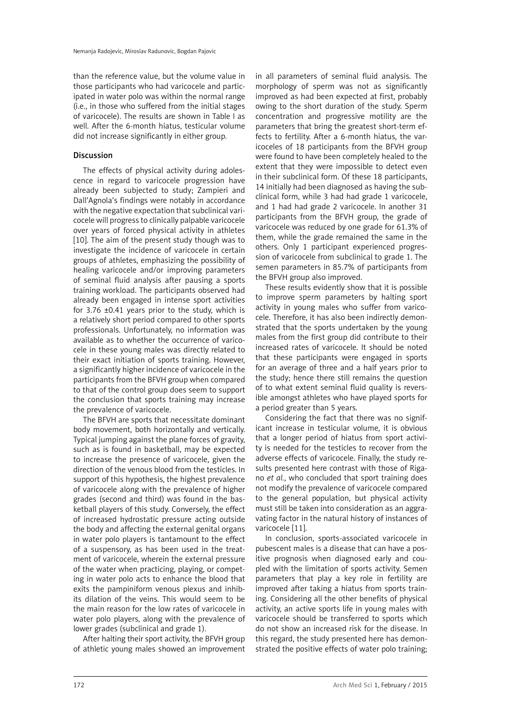than the reference value, but the volume value in those participants who had varicocele and participated in water polo was within the normal range (i.e., in those who suffered from the initial stages of varicocele). The results are shown in Table I as well. After the 6-month hiatus, testicular volume did not increase significantly in either group.

# Discussion

The effects of physical activity during adolescence in regard to varicocele progression have already been subjected to study; Zampieri and Dall'Agnola's findings were notably in accordance with the negative expectation that subclinical varicocele will progress to clinically palpable varicocele over years of forced physical activity in athletes [10]. The aim of the present study though was to investigate the incidence of varicocele in certain groups of athletes, emphasizing the possibility of healing varicocele and/or improving parameters of seminal fluid analysis after pausing a sports training workload. The participants observed had already been engaged in intense sport activities for 3.76 ±0.41 years prior to the study, which is a relatively short period compared to other sports professionals. Unfortunately, no information was available as to whether the occurrence of varicocele in these young males was directly related to their exact initiation of sports training. However, a significantly higher incidence of varicocele in the participants from the BFVH group when compared to that of the control group does seem to support the conclusion that sports training may increase the prevalence of varicocele.

The BFVH are sports that necessitate dominant body movement, both horizontally and vertically. Typical jumping against the plane forces of gravity, such as is found in basketball, may be expected to increase the presence of varicocele, given the direction of the venous blood from the testicles. In support of this hypothesis, the highest prevalence of varicocele along with the prevalence of higher grades (second and third) was found in the basketball players of this study. Conversely, the effect of increased hydrostatic pressure acting outside the body and affecting the external genital organs in water polo players is tantamount to the effect of a suspensory, as has been used in the treatment of varicocele, wherein the external pressure of the water when practicing, playing, or competing in water polo acts to enhance the blood that exits the pampiniform venous plexus and inhibits dilation of the veins. This would seem to be the main reason for the low rates of varicocele in water polo players, along with the prevalence of lower grades (subclinical and grade 1).

After halting their sport activity, the BFVH group of athletic young males showed an improvement in all parameters of seminal fluid analysis. The morphology of sperm was not as significantly improved as had been expected at first, probably owing to the short duration of the study. Sperm concentration and progressive motility are the parameters that bring the greatest short-term effects to fertility. After a 6-month hiatus, the varicoceles of 18 participants from the BFVH group were found to have been completely healed to the extent that they were impossible to detect even in their subclinical form. Of these 18 participants, 14 initially had been diagnosed as having the subclinical form, while 3 had had grade 1 varicocele, and 1 had had grade 2 varicocele. In another 31 participants from the BFVH group, the grade of varicocele was reduced by one grade for 61.3% of them, while the grade remained the same in the others. Only 1 participant experienced progression of varicocele from subclinical to grade 1. The semen parameters in 85.7% of participants from the BFVH group also improved.

These results evidently show that it is possible to improve sperm parameters by halting sport activity in young males who suffer from varicocele. Therefore, it has also been indirectly demonstrated that the sports undertaken by the young males from the first group did contribute to their increased rates of varicocele. It should be noted that these participants were engaged in sports for an average of three and a half years prior to the study; hence there still remains the question of to what extent seminal fluid quality is reversible amongst athletes who have played sports for a period greater than 5 years.

Considering the fact that there was no significant increase in testicular volume, it is obvious that a longer period of hiatus from sport activity is needed for the testicles to recover from the adverse effects of varicocele. Finally, the study results presented here contrast with those of Rigano *et al.*, who concluded that sport training does not modify the prevalence of varicocele compared to the general population, but physical activity must still be taken into consideration as an aggravating factor in the natural history of instances of varicocele [11].

In conclusion, sports-associated varicocele in pubescent males is a disease that can have a positive prognosis when diagnosed early and coupled with the limitation of sports activity. Semen parameters that play a key role in fertility are improved after taking a hiatus from sports training. Considering all the other benefits of physical activity, an active sports life in young males with varicocele should be transferred to sports which do not show an increased risk for the disease. In this regard, the study presented here has demonstrated the positive effects of water polo training;